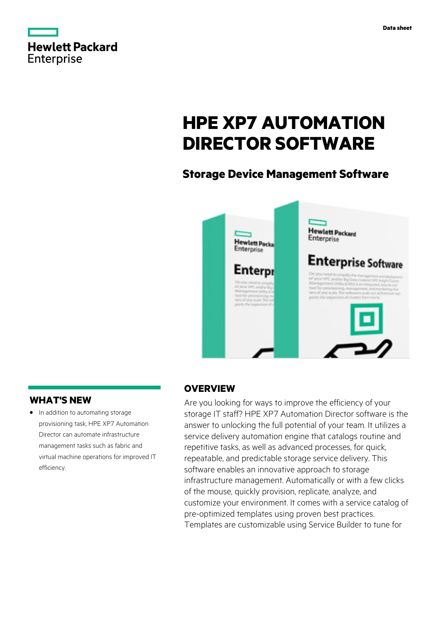|                   | <b>Hewlett Packard</b> |
|-------------------|------------------------|
| <b>Enterprise</b> |                        |

# **HPE XP7 AUTOMATION DIRECTOR SOFTWARE**

# **Storage Device Management Software**



# **WHAT'S NEW**

**·** In addition to automating storage provisioning task, HPE XP7 Automation Director can automate infrastructure management tasks such as fabric and virtual machine operations for improved IT efficiency.

# **OVERVIEW**

Are you looking for ways to improve the efficiency of your storage IT staff? HPE XP7 Automation Director software is the answer to unlocking the full potential of your team. It utilizes a service delivery automation engine that catalogs routine and repetitive tasks, as well as advanced processes, for quick, repeatable, and predictable storage service delivery. This software enables an innovative approach to storage infrastructure management. Automatically or with a few clicks of the mouse, quickly provision, replicate, analyze, and customize your environment. It comes with a service catalog of pre-optimized templates using proven best practices. Templates are customizable using Service Builder to tune for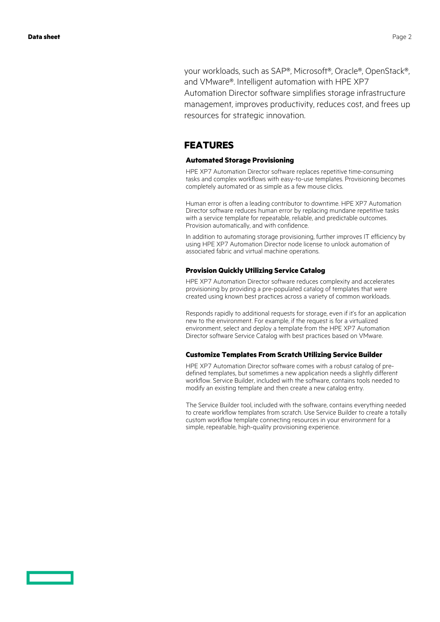your workloads, such as SAP®, Microsoft®, Oracle®, OpenStack®, and VMware®. Intelligent automation with HPE XP7 Automation Director software simplifies storage infrastructure management, improves productivity, reduces cost, and frees up resources for strategic innovation.

### **FEATURES**

#### **Automated Storage Provisioning**

HPE XP7 Automation Director software replaces repetitive time-consuming tasks and complex workflows with easy-to-use templates. Provisioning becomes completely automated or as simple as a few mouse clicks.

Human error is often a leading contributor to downtime. HPE XP7 Automation Director software reduces human error by replacing mundane repetitive tasks with a service template for repeatable, reliable, and predictable outcomes. Provision automatically, and with confidence.

In addition to automating storage provisioning, further improves IT efficiency by using HPE XP7 Automation Director node license to unlock automation of associated fabric and virtual machine operations.

#### **Provision Quickly Utilizing Service Catalog**

HPE XP7 Automation Director software reduces complexity and accelerates provisioning by providing a pre-populated catalog of templates that were created using known best practices across a variety of common workloads.

Responds rapidly to additional requests for storage, even if it's for an application new to the environment. For example, if the request is for a virtualized environment, select and deploy a template from the HPE XP7 Automation Director software Service Catalog with best practices based on VMware.

#### **Customize Templates From Scratch Utilizing Service Builder**

HPE XP7 Automation Director software comes with a robust catalog of predefined templates, but sometimes a new application needs a slightly different workflow. Service Builder, included with the software, contains tools needed to modify an existing template and then create a new catalog entry.

The Service Builder tool, included with the software, contains everything needed to create workflow templates from scratch. Use Service Builder to create a totally custom workflow template connecting resources in your environment for a simple, repeatable, high-quality provisioning experience.